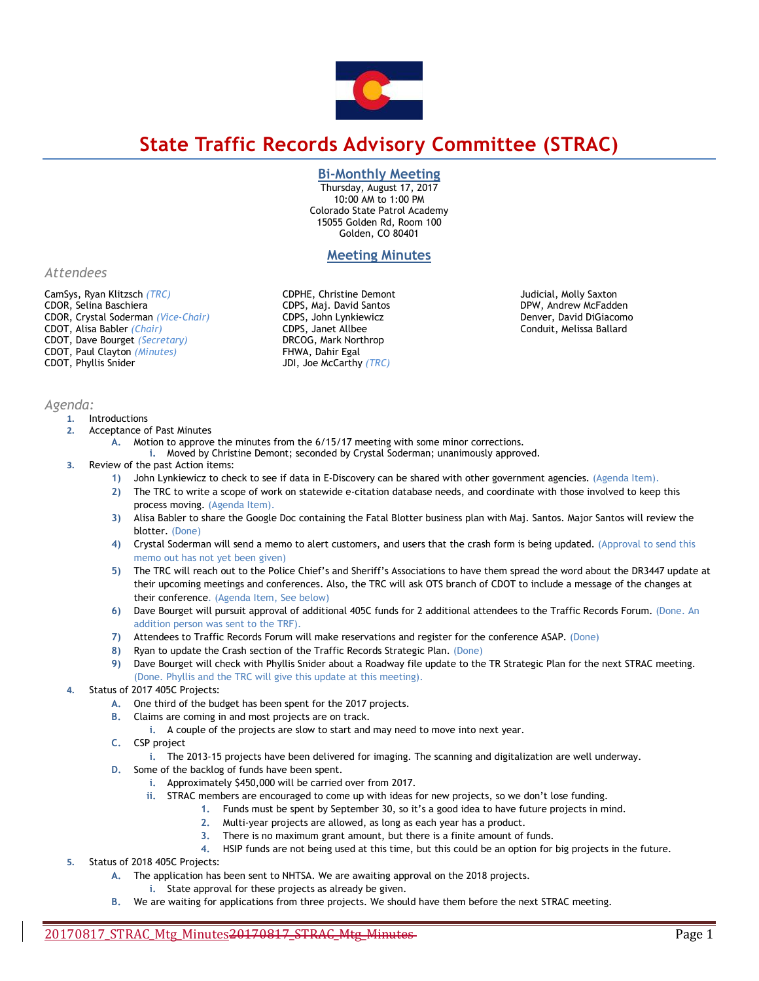

# **State Traffic Records Advisory Committee (STRAC)**

# **Bi-Monthly Meeting**

Thursday, August 17, 2017 10:00 AM to 1:00 PM Colorado State Patrol Academy 15055 Golden Rd, Room 100 Golden, CO 80401

# **Meeting Minutes**

*Attendees*

CamSys, Ryan Klitzsch *(TRC)*  CDOR, Selina Baschiera CDOR, Crystal Soderman *(Vice-Chair)* CDOT, Alisa Babler *(Chair)*  CDOT, Dave Bourget *(Secretary)* CDOT, Paul Clayton *(Minutes)* CDOT, Phyllis Snider

*Agenda:* 

#### **1.** Introductions

- **2.** Acceptance of Past Minutes
	- **A.** Motion to approve the minutes from the 6/15/17 meeting with some minor corrections.
	- **i.** Moved by Christine Demont; seconded by Crystal Soderman; unanimously approved.

CDPHE, Christine Demont CDPS, Maj. David Santos CDPS, John Lynkiewicz CDPS, Janet Allbee DRCOG, Mark Northrop FHWA, Dahir Egal JDI, Joe McCarthy *(TRC)* 

- **3.** Review of the past Action items:
	- **1)** John Lynkiewicz to check to see if data in E-Discovery can be shared with other government agencies. (Agenda Item).
	- **2)** The TRC to write a scope of work on statewide e-citation database needs, and coordinate with those involved to keep this process moving. (Agenda Item).
	- **3)** Alisa Babler to share the Google Doc containing the Fatal Blotter business plan with Maj. Santos. Major Santos will review the blotter. (Done)
	- **4)** Crystal Soderman will send a memo to alert customers, and users that the crash form is being updated. (Approval to send this memo out has not yet been given)
	- **5)** The TRC will reach out to the Police Chief's and Sheriff's Associations to have them spread the word about the DR3447 update at their upcoming meetings and conferences. Also, the TRC will ask OTS branch of CDOT to include a message of the changes at their conference. (Agenda Item, See below)
	- **6)** Dave Bourget will pursuit approval of additional 405C funds for 2 additional attendees to the Traffic Records Forum. (Done. An addition person was sent to the TRF).
	- **7)** Attendees to Traffic Records Forum will make reservations and register for the conference ASAP. (Done)
	- **8)** Ryan to update the Crash section of the Traffic Records Strategic Plan. (Done)
	- **9)** Dave Bourget will check with Phyllis Snider about a Roadway file update to the TR Strategic Plan for the next STRAC meeting. (Done. Phyllis and the TRC will give this update at this meeting).

## Status of 2017 405C Projects:

- **A.** One third of the budget has been spent for the 2017 projects.
- **B.** Claims are coming in and most projects are on track.
	- **i.** A couple of the projects are slow to start and may need to move into next year.
- **C.** CSP project
- **i.** The 2013-15 projects have been delivered for imaging. The scanning and digitalization are well underway.
- **D.** Some of the backlog of funds have been spent.
	- **i.** Approximately \$450,000 will be carried over from 2017.
	- **ii.** STRAC members are encouraged to come up with ideas for new projects, so we don't lose funding.
		- **1.** Funds must be spent by September 30, so it's a good idea to have future projects in mind.
			- **2.** Multi-year projects are allowed, as long as each year has a product.
			- **3.** There is no maximum grant amount, but there is a finite amount of funds.
			- **4.** HSIP funds are not being used at this time, but this could be an option for big projects in the future.
- **5.** Status of 2018 405C Projects:
	- **A.** The application has been sent to NHTSA. We are awaiting approval on the 2018 projects.
		- **i.** State approval for these projects as already be given.
		- **B.** We are waiting for applications from three projects. We should have them before the next STRAC meeting.

Judicial, Molly Saxton DPW, Andrew McFadden Denver, David DiGiacomo Conduit, Melissa Ballard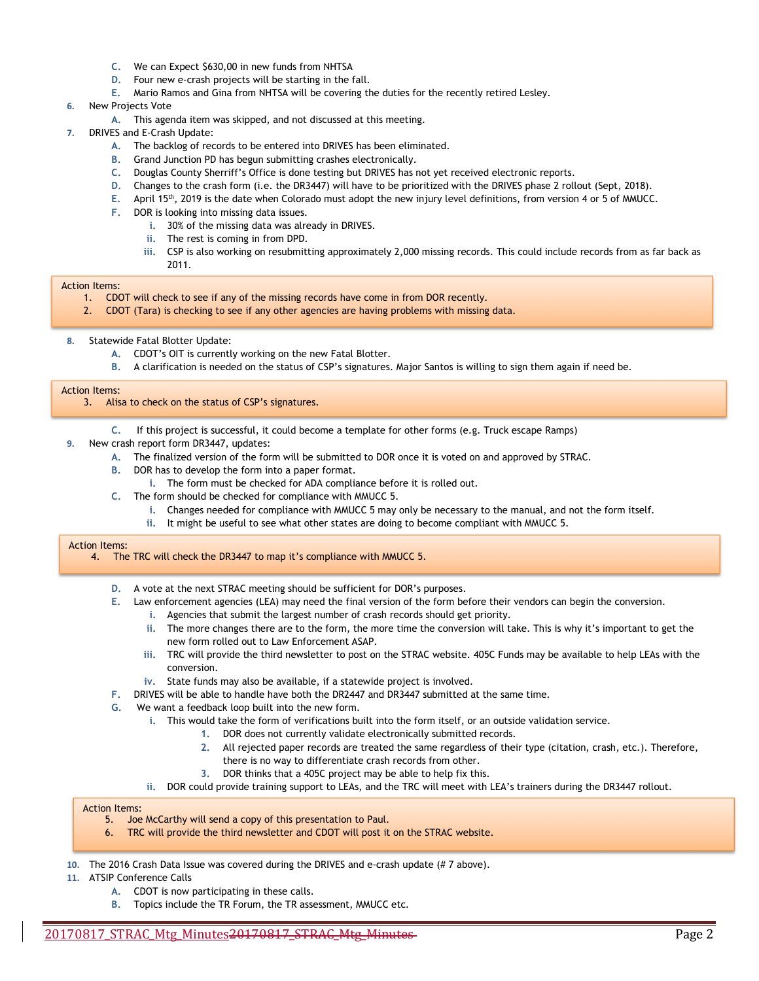- **C.** We can Expect \$630,00 in new funds from NHTSA
- **D.** Four new e-crash projects will be starting in the fall.
- **E.** Mario Ramos and Gina from NHTSA will be covering the duties for the recently retired Lesley.

#### **6.** New Projects Vote

- **A.** This agenda item was skipped, and not discussed at this meeting.
- **7.** DRIVES and E-Crash Update:
	- **A.** The backlog of records to be entered into DRIVES has been eliminated.
	- **B.** Grand Junction PD has begun submitting crashes electronically.
	- **C.** Douglas County Sherriff's Office is done testing but DRIVES has not yet received electronic reports.
	- **D.** Changes to the crash form (i.e. the DR3447) will have to be prioritized with the DRIVES phase 2 rollout (Sept, 2018).
	- **E.** April 15th, 2019 is the date when Colorado must adopt the new injury level definitions, from version 4 or 5 of MMUCC.
	- **F.** DOR is looking into missing data issues.
		- **i.** 30% of the missing data was already in DRIVES.
		- **ii.** The rest is coming in from DPD.
		- **iii.** CSP is also working on resubmitting approximately 2,000 missing records. This could include records from as far back as 2011.

#### Action Items:

- 1. CDOT will check to see if any of the missing records have come in from DOR recently.
- 2. CDOT (Tara) is checking to see if any other agencies are having problems with missing data.
- **8.** Statewide Fatal Blotter Update:
	- **A.** CDOT's OIT is currently working on the new Fatal Blotter.
	- **B.** A clarification is needed on the status of CSP's signatures. Major Santos is willing to sign them again if need be.

#### Action Items:

#### 3. Alisa to check on the status of CSP's signatures.

- **C.** If this project is successful, it could become a template for other forms (e.g. Truck escape Ramps)
- **9.** New crash report form DR3447, updates:
	- **A.** The finalized version of the form will be submitted to DOR once it is voted on and approved by STRAC.
	- **B.** DOR has to develop the form into a paper format.
		- **i.** The form must be checked for ADA compliance before it is rolled out.
	- **C.** The form should be checked for compliance with MMUCC 5.
		- **i.** Changes needed for compliance with MMUCC 5 may only be necessary to the manual, and not the form itself.
		- **ii.** It might be useful to see what other states are doing to become compliant with MMUCC 5.

#### Action Items:

- 4. The TRC will check the DR3447 to map it's compliance with MMUCC 5.
	- **D.** A vote at the next STRAC meeting should be sufficient for DOR's purposes.
	- **E.** Law enforcement agencies (LEA) may need the final version of the form before their vendors can begin the conversion.
		- **i.** Agencies that submit the largest number of crash records should get priority.
		- **ii.** The more changes there are to the form, the more time the conversion will take. This is why it's important to get the new form rolled out to Law Enforcement ASAP.
		- **iii.** TRC will provide the third newsletter to post on the STRAC website. 405C Funds may be available to help LEAs with the conversion.
		- **iv.** State funds may also be available, if a statewide project is involved.
	- **F.** DRIVES will be able to handle have both the DR2447 and DR3447 submitted at the same time.
	- **G.** We want a feedback loop built into the new form.
		- **i.** This would take the form of verifications built into the form itself, or an outside validation service.
			- **1.** DOR does not currently validate electronically submitted records.
			- **2.** All rejected paper records are treated the same regardless of their type (citation, crash, etc.). Therefore, there is no way to differentiate crash records from other.
			- **3.** DOR thinks that a 405C project may be able to help fix this.
		- **ii.** DOR could provide training support to LEAs, and the TRC will meet with LEA's trainers during the DR3447 rollout.

#### Action Items:

- 5. Joe McCarthy will send a copy of this presentation to Paul.
- 6. TRC will provide the third newsletter and CDOT will post it on the STRAC website.
- **10.** The 2016 Crash Data Issue was covered during the DRIVES and e-crash update (# 7 above).
- **11.** ATSIP Conference Calls
	- **A.** CDOT is now participating in these calls.
	- **B.** Topics include the TR Forum, the TR assessment, MMUCC etc.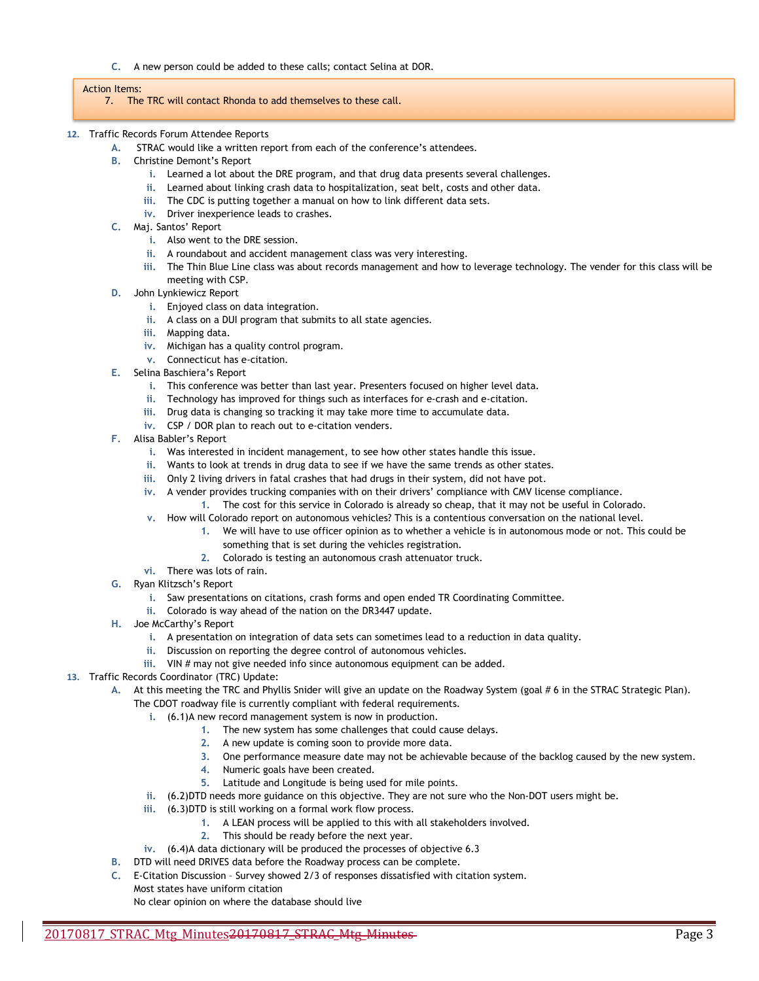**C.** A new person could be added to these calls; contact Selina at DOR.

#### Action Items:

- 7. The TRC will contact Rhonda to add themselves to these call.
- **12.** Traffic Records Forum Attendee Reports
	- **A.** STRAC would like a written report from each of the conference's attendees.
	- **B.** Christine Demont's Report
		- **i.** Learned a lot about the DRE program, and that drug data presents several challenges.
		- **ii.** Learned about linking crash data to hospitalization, seat belt, costs and other data.
		- **iii.** The CDC is putting together a manual on how to link different data sets.
		- **iv.** Driver inexperience leads to crashes.
	- **C.** Maj. Santos' Report
		- **i.** Also went to the DRE session.
		- **ii.** A roundabout and accident management class was very interesting.
		- **iii.** The Thin Blue Line class was about records management and how to leverage technology. The vender for this class will be meeting with CSP.
	- **D.** John Lynkiewicz Report
		- **i.** Enjoyed class on data integration.
		- **ii.** A class on a DUI program that submits to all state agencies.
		- **iii.** Mapping data.
		- **iv.** Michigan has a quality control program.
		- **v.** Connecticut has e-citation.
	- **E.** Selina Baschiera's Report
		- **i.** This conference was better than last year. Presenters focused on higher level data.
		- **ii.** Technology has improved for things such as interfaces for e-crash and e-citation.
		- **iii.** Drug data is changing so tracking it may take more time to accumulate data.
		- **iv.** CSP / DOR plan to reach out to e-citation venders.
	- **F.** Alisa Babler's Report
		- **i.** Was interested in incident management, to see how other states handle this issue.
		- **ii.** Wants to look at trends in drug data to see if we have the same trends as other states.
		- **iii.** Only 2 living drivers in fatal crashes that had drugs in their system, did not have pot.
		- **iv.** A vender provides trucking companies with on their drivers' compliance with CMV license compliance.
			- **1.** The cost for this service in Colorado is already so cheap, that it may not be useful in Colorado.
		- **v.** How will Colorado report on autonomous vehicles? This is a contentious conversation on the national level.
			- **1.** We will have to use officer opinion as to whether a vehicle is in autonomous mode or not. This could be something that is set during the vehicles registration.
			- **2.** Colorado is testing an autonomous crash attenuator truck.
		- **vi.** There was lots of rain.
	- **G.** Ryan Klitzsch's Report
		- **i.** Saw presentations on citations, crash forms and open ended TR Coordinating Committee.
		- **ii.** Colorado is way ahead of the nation on the DR3447 update.
	- **H.** Joe McCarthy's Report
		- **i.** A presentation on integration of data sets can sometimes lead to a reduction in data quality.
		- **ii.** Discussion on reporting the degree control of autonomous vehicles.
		- **iii.** VIN # may not give needed info since autonomous equipment can be added.
- **13.** Traffic Records Coordinator (TRC) Update:

**A.** At this meeting the TRC and Phyllis Snider will give an update on the Roadway System (goal # 6 in the STRAC Strategic Plan). The CDOT roadway file is currently compliant with federal requirements.

- **i.** (6.1)A new record management system is now in production.
	- **1.** The new system has some challenges that could cause delays.
		- **2.** A new update is coming soon to provide more data.
	- **3.** One performance measure date may not be achievable because of the backlog caused by the new system.
	- **4.** Numeric goals have been created.
	- **5.** Latitude and Longitude is being used for mile points.
- **ii.** (6.2)DTD needs more guidance on this objective. They are not sure who the Non-DOT users might be.
- **iii.** (6.3)DTD is still working on a formal work flow process.
	- **1.** A LEAN process will be applied to this with all stakeholders involved.
	- **2.** This should be ready before the next year.
- **iv.** (6.4)A data dictionary will be produced the processes of objective 6.3
- **B.** DTD will need DRIVES data before the Roadway process can be complete.
- **C.** E-Citation Discussion Survey showed 2/3 of responses dissatisfied with citation system. Most states have uniform citation

No clear opinion on where the database should live